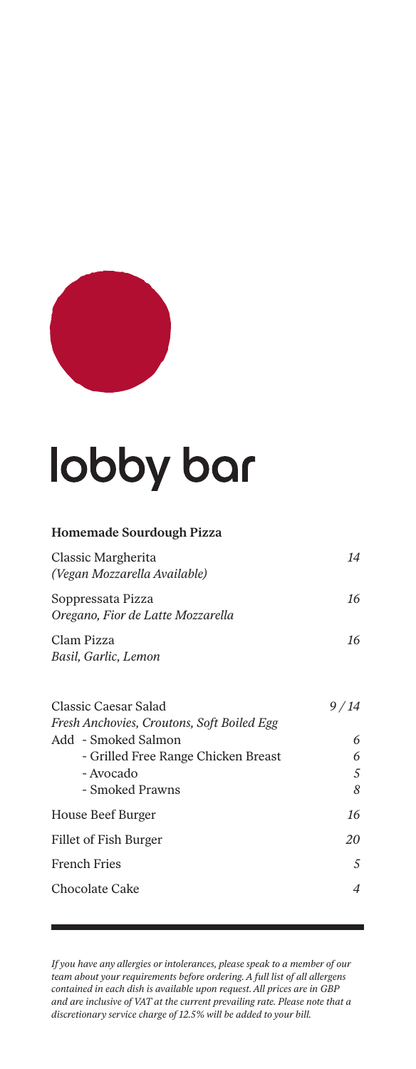

# lobby bar

#### **Homemade Sourdough Pizza** Classic Margherita *14 (Vegan Mozzarella Available)* Soppressata Pizza *16 Oregano, Fior de Latte Mozzarella* Clam Pizza *16 Basil, Garlic, Lemon* Classic Caesar Salad *9 / 14 Fresh Anchovies, Croutons, Soft Boiled Egg* Add - Smoked Salmon *6* - Grilled Free Range Chicken Breast *6* - Avocado *5* - Smoked Prawns *8*

| House Beef Burger     | 16 |
|-----------------------|----|
| Fillet of Fish Burger | 20 |
| <b>French Fries</b>   | 5  |
| Chocolate Cake        | 4  |
|                       |    |

*If you have any allergies or intolerances, please speak to a member of our team about your requirements before ordering. A full list of all allergens contained in each dish is available upon request. All prices are in GBP and are inclusive of VAT at the current prevailing rate. Please note that a discretionary service charge of 12.5% will be added to your bill.*